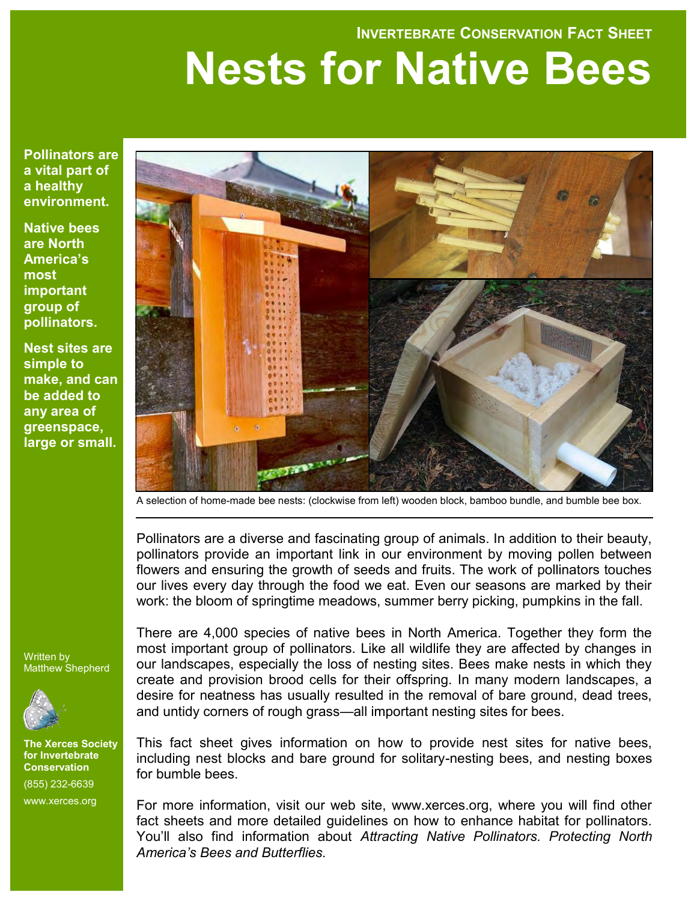#### **INVERTEBRATE CONSERVATION FACT SHEET**

# **Nests for Native Bees**

**Pollinators are a vital part of a healthy environment.** 

**Native bees are North America's most important group of pollinators.** 

**Nest sites are simple to make, and can be added to any area of greenspace, large or small.**



A selection of home-made bee nests: (clockwise from left) wooden block, bamboo bundle, and bumble bee box.

Pollinators are a diverse and fascinating group of animals. In addition to their beauty, pollinators provide an important link in our environment by moving pollen between flowers and ensuring the growth of seeds and fruits. The work of pollinators touches our lives every day through the food we eat. Even our seasons are marked by their work: the bloom of springtime meadows, summer berry picking, pumpkins in the fall.

Written by Matthew Shepherd



**The Xerces Society for Invertebrate Conservation** (855) 232-6639 www.xerces.org

There are 4,000 species of native bees in North America. Together they form the most important group of pollinators. Like all wildlife they are affected by changes in our landscapes, especially the loss of nesting sites. Bees make nests in which they create and provision brood cells for their offspring. In many modern landscapes, a desire for neatness has usually resulted in the removal of bare ground, dead trees, and untidy corners of rough grass—all important nesting sites for bees.

This fact sheet gives information on how to provide nest sites for native bees, including nest blocks and bare ground for solitary-nesting bees, and nesting boxes for bumble bees.

For more information, visit our web site, www.xerces.org, where you will find other fact sheets and more detailed guidelines on how to enhance habitat for pollinators. You'll also find information about *Attracting Native Pollinators. Protecting North America's Bees and Butterflies.*